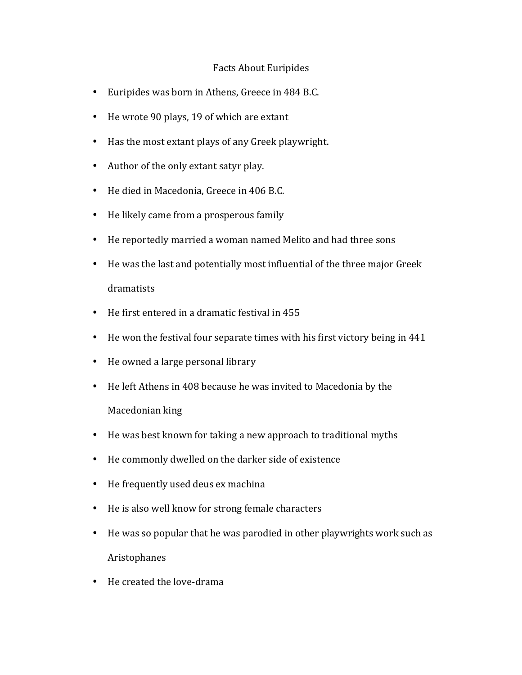## Facts About Euripides

- Euripides was born in Athens, Greece in 484 B.C.
- He wrote 90 plays, 19 of which are extant
- Has the most extant plays of any Greek playwright.
- Author of the only extant satyr play.
- He died in Macedonia, Greece in 406 B.C.
- He likely came from a prosperous family
- He reportedly married a woman named Melito and had three sons
- He was the last and potentially most influential of the three major Greek dramatists
- $\bullet$  He first entered in a dramatic festival in 455
- He won the festival four separate times with his first victory being in 441
- He owned a large personal library
- He left Athens in 408 because he was invited to Macedonia by the Macedonian king
- He was best known for taking a new approach to traditional myths
- He commonly dwelled on the darker side of existence
- He frequently used deus ex machina
- He is also well know for strong female characters
- He was so popular that he was parodied in other playwrights work such as Aristophanes
- He created the love-drama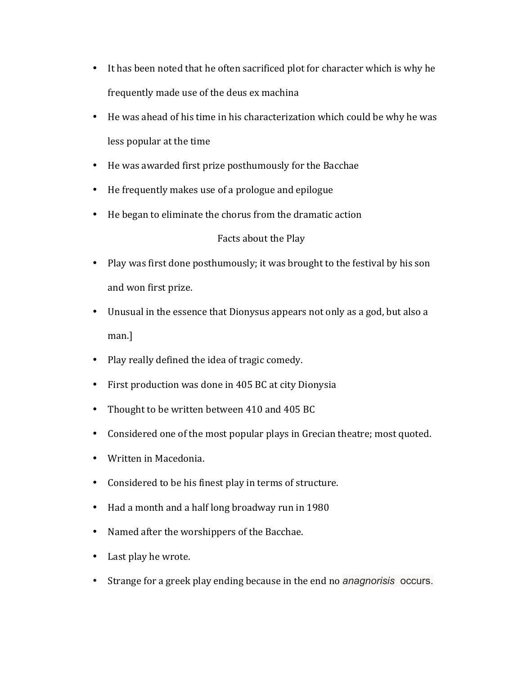- It has been noted that he often sacrificed plot for character which is why he frequently made use of the deus ex machina
- He was ahead of his time in his characterization which could be why he was less popular at the time
- He was awarded first prize posthumously for the Bacchae
- He frequently makes use of a prologue and epilogue
- He began to eliminate the chorus from the dramatic action

## Facts about the Play

- Play was first done posthumously; it was brought to the festival by his son and won first prize.
- Unusual in the essence that Dionysus appears not only as a god, but also a man.]
- Play really defined the idea of tragic comedy.
- First production was done in 405 BC at city Dionysia
- Thought to be written between 410 and 405 BC
- Considered one of the most popular plays in Grecian theatre; most quoted.
- Written in Macedonia.
- Considered to be his finest play in terms of structure.
- Had a month and a half long broadway run in 1980
- Named after the worshippers of the Bacchae.
- Last play he wrote.
- Strange for a greek play ending because in the end no *anagnorisis* occurs.